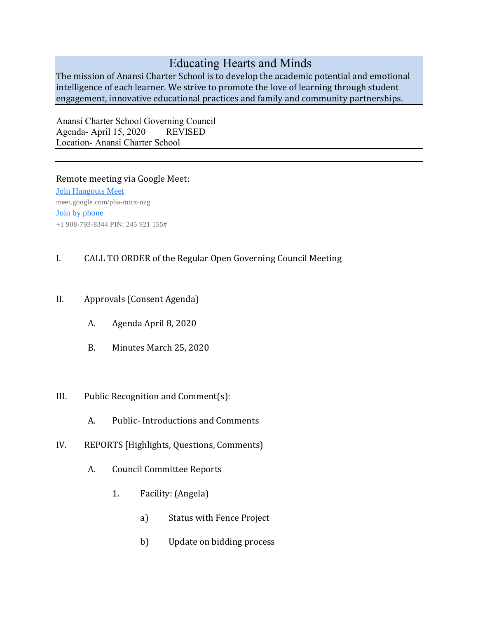## Educating Hearts and Minds

The mission of Anansi Charter School is to develop the academic potential and emotional intelligence of each learner. We strive to promote the love of learning through student engagement, innovative educational practices and family and community partnerships.

Anansi Charter School Governing Council Agenda- April 15, 2020 REVISED Location- Anansi Charter School

## Remote meeting via Google Meet:

[Join Hangouts Meet](https://meet.google.com/pba-mtcz-nzg?hs=122) meet.google.com/pba-mtcz-nzg [Join by phone](tel:+1-908-793-8344) +1 908-793-8344 PIN: 245 921 155#

## I. CALL TO ORDER of the Regular Open Governing Council Meeting

- II. Approvals (Consent Agenda)
	- A. Agenda April 8, 2020
	- B. Minutes March 25, 2020
- III. Public Recognition and Comment(s):
	- A. Public- Introductions and Comments
- IV. REPORTS [Highlights, Questions, Comments)
	- A. Council Committee Reports
		- 1. Facility: (Angela)
			- a) Status with Fence Project
			- b) Update on bidding process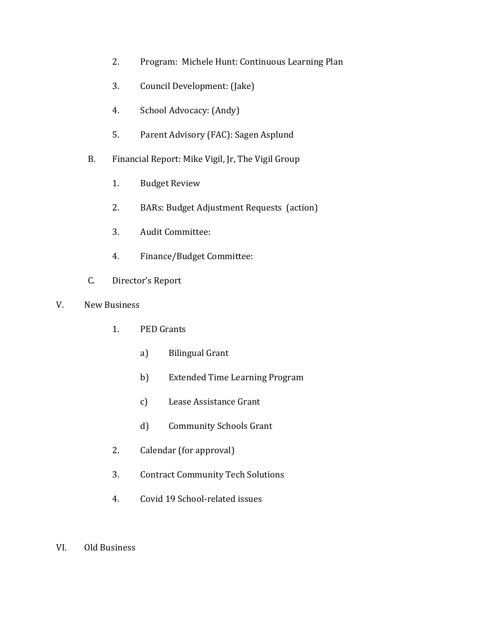- 2. Program: Michele Hunt: Continuous Learning Plan
- 3. Council Development: (Jake)
- 4. School Advocacy: (Andy)
- 5. Parent Advisory (FAC): Sagen Asplund
- B. Financial Report: Mike Vigil, Jr, The Vigil Group
	- 1. Budget Review
	- 2. BARs: Budget Adjustment Requests (action)
	- 3. Audit Committee:
	- 4. Finance/Budget Committee:
- C. Director's Report
- V. New Business
	- 1. PED Grants
		- a) Bilingual Grant
		- b) Extended Time Learning Program
		- c) Lease Assistance Grant
		- d) Community Schools Grant
	- 2. Calendar (for approval)
	- 3. Contract Community Tech Solutions
	- 4. Covid 19 School-related issues
- VI. Old Business